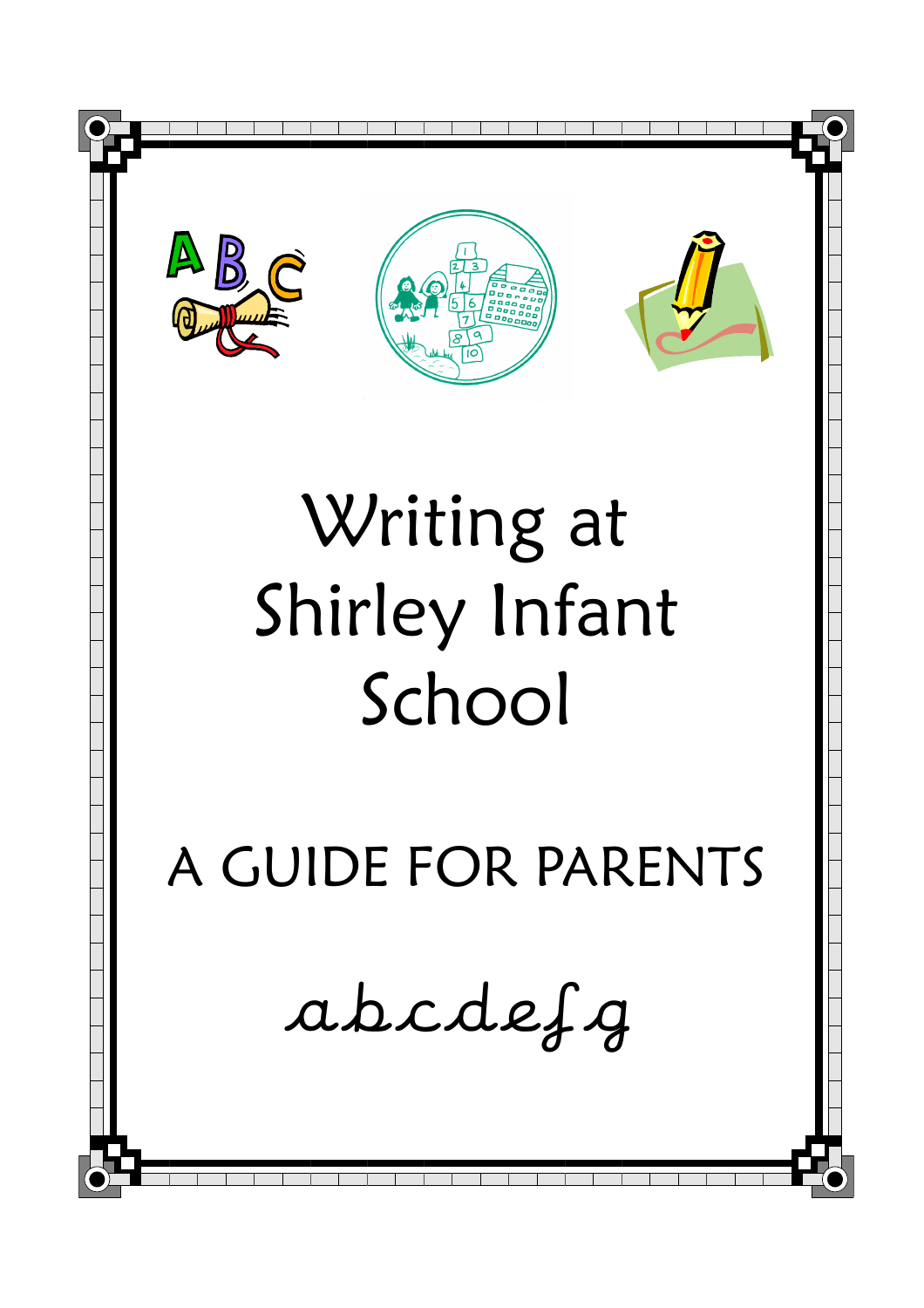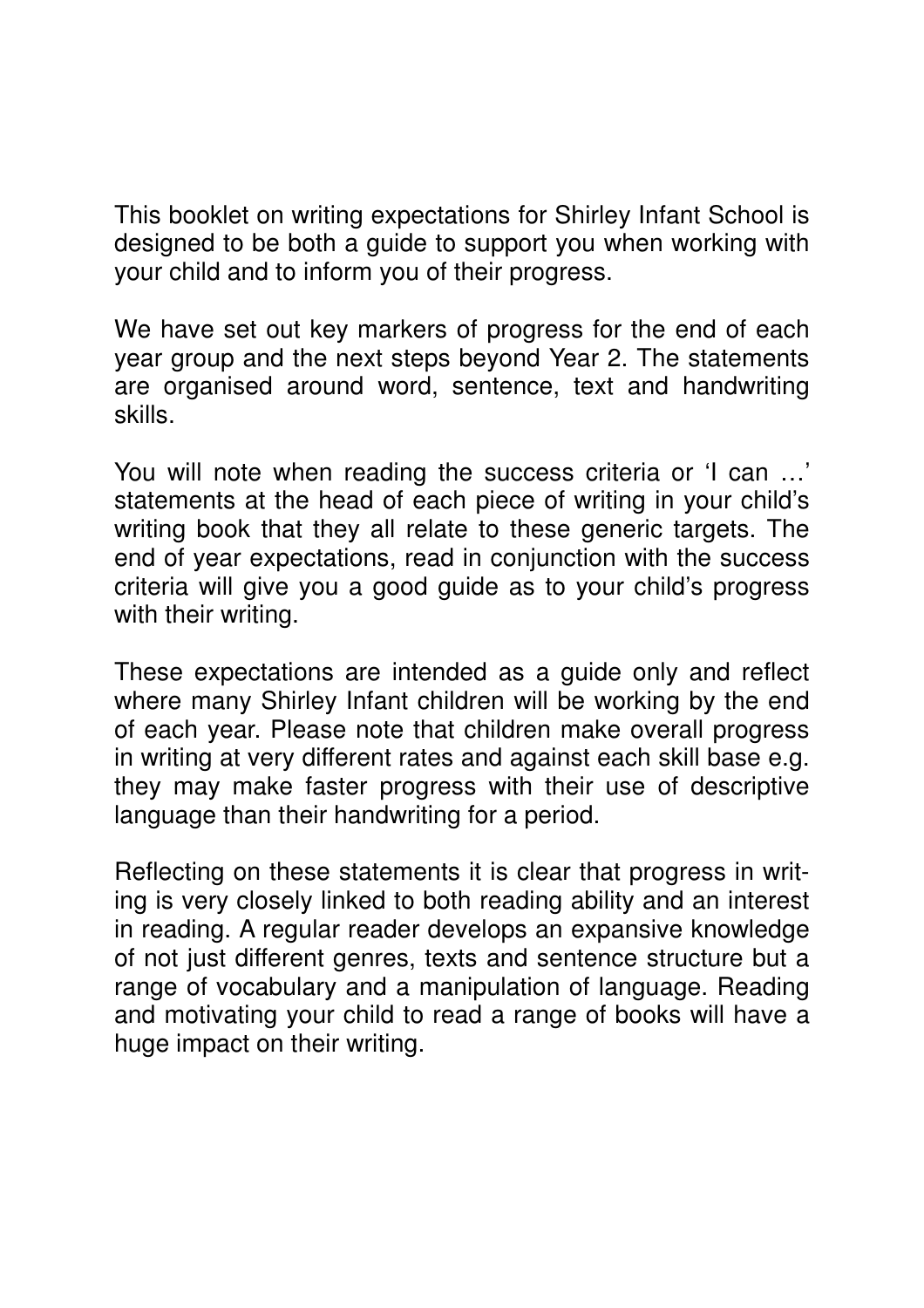This booklet on writing expectations for Shirley Infant School is designed to be both a guide to support you when working with your child and to inform you of their progress.

We have set out key markers of progress for the end of each year group and the next steps beyond Year 2. The statements are organised around word, sentence, text and handwriting skills.

You will note when reading the success criteria or 'I can …' statements at the head of each piece of writing in your child's writing book that they all relate to these generic targets. The end of year expectations, read in conjunction with the success criteria will give you a good guide as to your child's progress with their writing.

These expectations are intended as a guide only and reflect where many Shirley Infant children will be working by the end of each year. Please note that children make overall progress in writing at very different rates and against each skill base e.g. they may make faster progress with their use of descriptive language than their handwriting for a period.

Reflecting on these statements it is clear that progress in writing is very closely linked to both reading ability and an interest in reading. A regular reader develops an expansive knowledge of not just different genres, texts and sentence structure but a range of vocabulary and a manipulation of language. Reading and motivating your child to read a range of books will have a huge impact on their writing.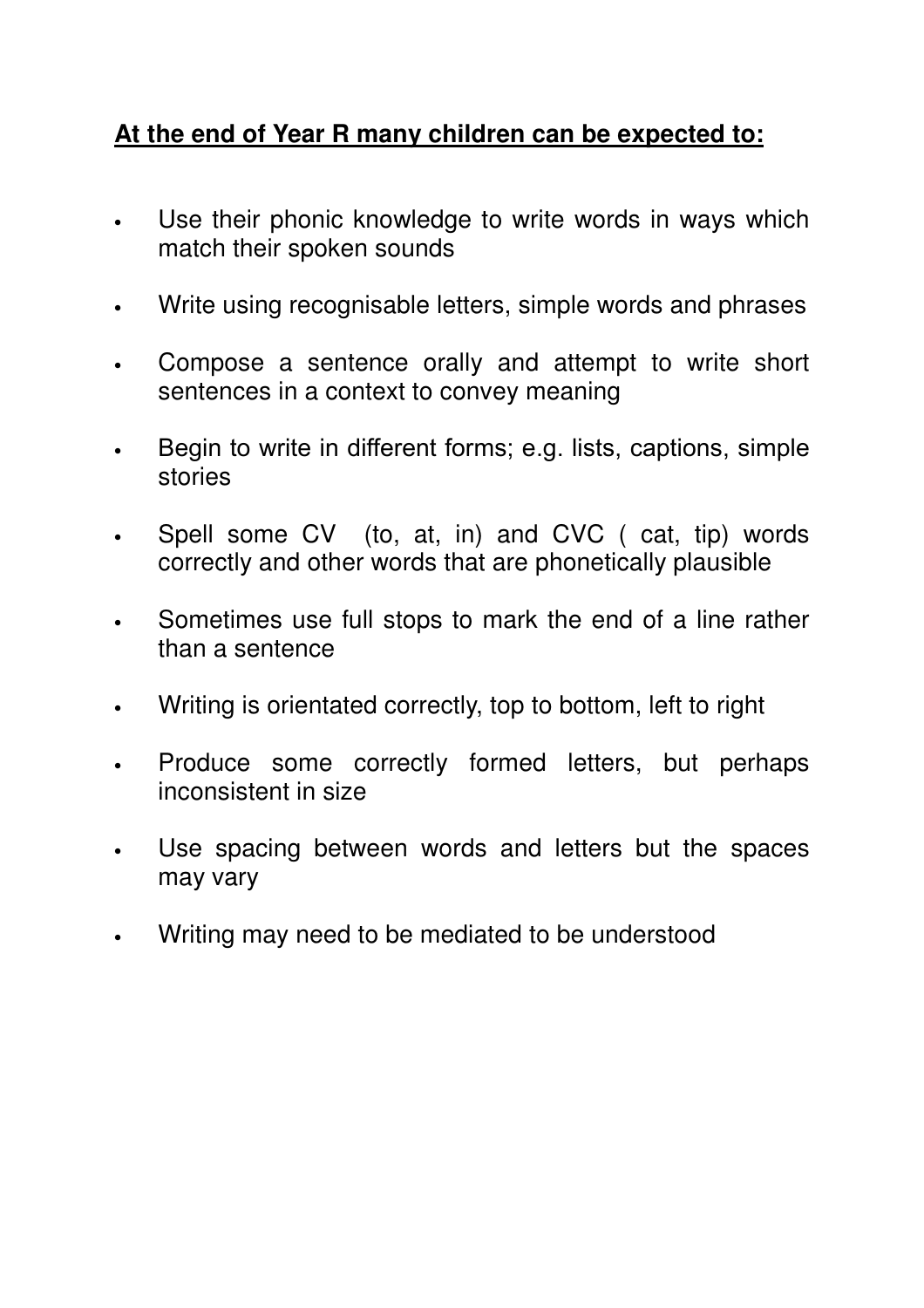## **At the end of Year R many children can be expected to:**

- Use their phonic knowledge to write words in ways which match their spoken sounds
- Write using recognisable letters, simple words and phrases
- Compose a sentence orally and attempt to write short sentences in a context to convey meaning
- Begin to write in different forms; e.g. lists, captions, simple stories
- Spell some CV (to, at, in) and CVC ( cat, tip) words correctly and other words that are phonetically plausible
- Sometimes use full stops to mark the end of a line rather than a sentence
- Writing is orientated correctly, top to bottom, left to right
- Produce some correctly formed letters, but perhaps inconsistent in size
- Use spacing between words and letters but the spaces may vary
- Writing may need to be mediated to be understood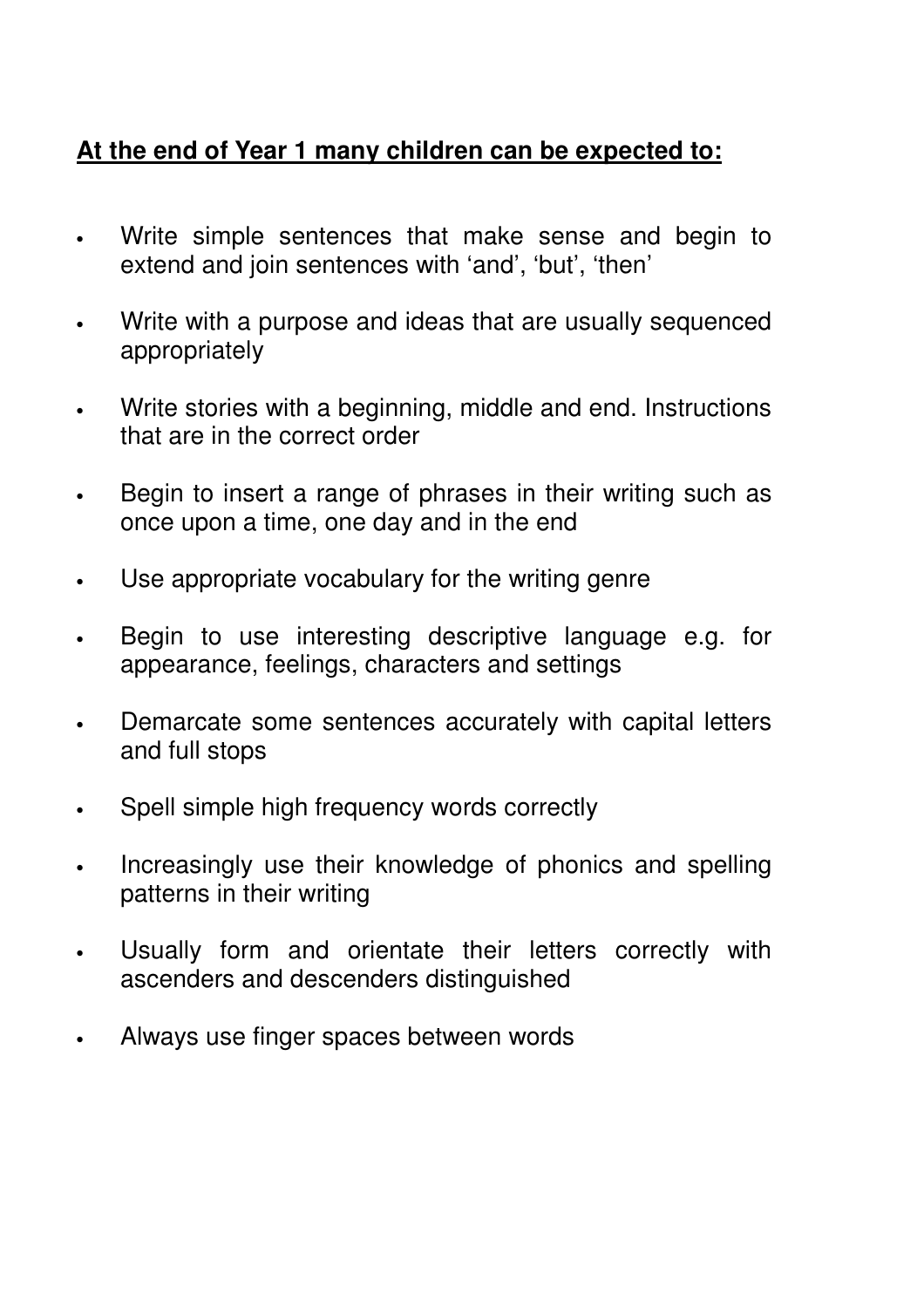## **At the end of Year 1 many children can be expected to:**

- Write simple sentences that make sense and begin to extend and join sentences with 'and', 'but', 'then'
- Write with a purpose and ideas that are usually sequenced appropriately
- Write stories with a beginning, middle and end. Instructions that are in the correct order
- Begin to insert a range of phrases in their writing such as once upon a time, one day and in the end
- Use appropriate vocabulary for the writing genre
- Begin to use interesting descriptive language e.g. for appearance, feelings, characters and settings
- Demarcate some sentences accurately with capital letters and full stops
- Spell simple high frequency words correctly
- Increasingly use their knowledge of phonics and spelling patterns in their writing
- Usually form and orientate their letters correctly with ascenders and descenders distinguished
- Always use finger spaces between words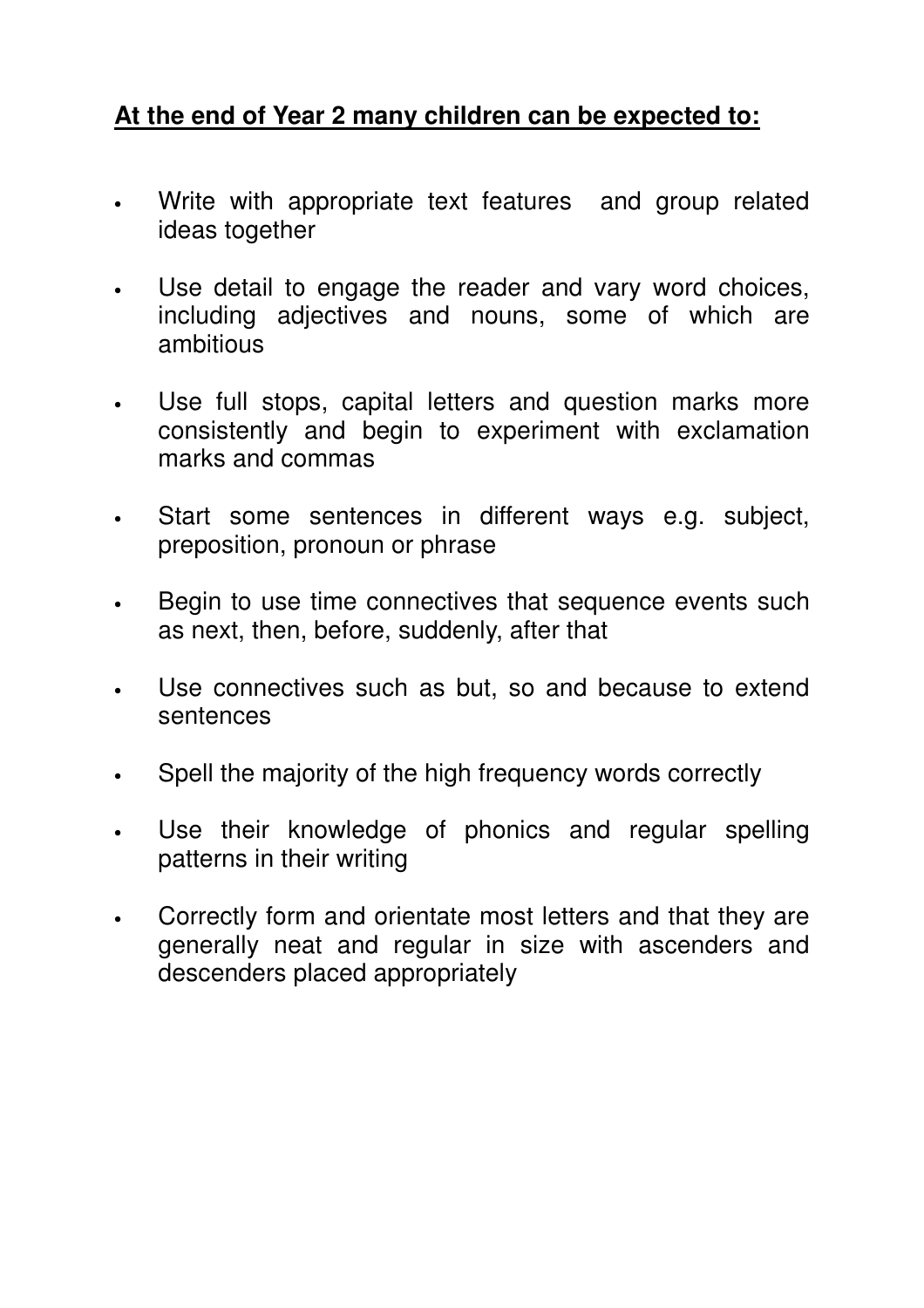## **At the end of Year 2 many children can be expected to:**

- Write with appropriate text features and group related ideas together
- Use detail to engage the reader and vary word choices, including adjectives and nouns, some of which are ambitious
- Use full stops, capital letters and question marks more consistently and begin to experiment with exclamation marks and commas
- Start some sentences in different ways e.g. subject, preposition, pronoun or phrase
- Begin to use time connectives that sequence events such as next, then, before, suddenly, after that
- Use connectives such as but, so and because to extend sentences
- Spell the majority of the high frequency words correctly
- Use their knowledge of phonics and regular spelling patterns in their writing
- Correctly form and orientate most letters and that they are generally neat and regular in size with ascenders and descenders placed appropriately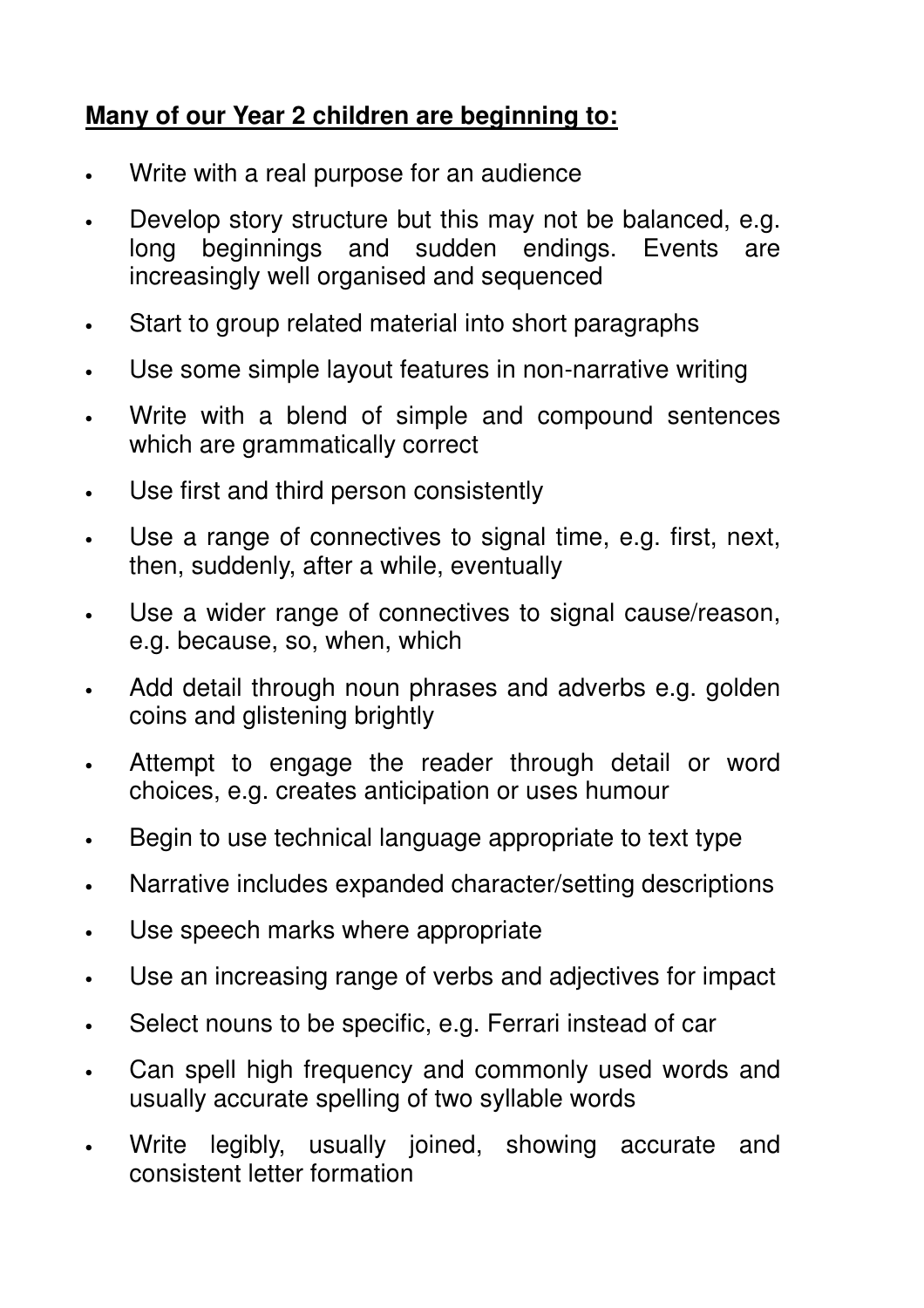## **Many of our Year 2 children are beginning to:**

- Write with a real purpose for an audience
- Develop story structure but this may not be balanced, e.g. long beginnings and sudden endings. Events are increasingly well organised and sequenced
- Start to group related material into short paragraphs
- Use some simple layout features in non-narrative writing
- Write with a blend of simple and compound sentences which are grammatically correct
- Use first and third person consistently
- Use a range of connectives to signal time, e.g. first, next, then, suddenly, after a while, eventually
- Use a wider range of connectives to signal cause/reason, e.g. because, so, when, which
- Add detail through noun phrases and adverbs e.g. golden coins and glistening brightly
- Attempt to engage the reader through detail or word choices, e.g. creates anticipation or uses humour
- Begin to use technical language appropriate to text type
- Narrative includes expanded character/setting descriptions
- Use speech marks where appropriate
- Use an increasing range of verbs and adjectives for impact
- Select nouns to be specific, e.g. Ferrari instead of car
- Can spell high frequency and commonly used words and usually accurate spelling of two syllable words
- Write legibly, usually joined, showing accurate and consistent letter formation